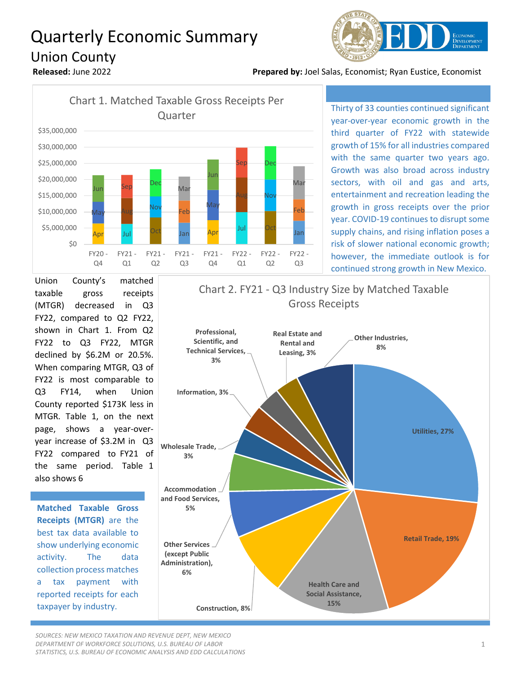## Quarterly Economic Summary Union County



**Released:** June 2022 **Prepared by:** Joel Salas, Economist; Ryan Eustice, Economist



Thirty of 33 counties continued significant year-over-year economic growth in the third quarter of FY22 with statewide growth of 15% for all industries compared with the same quarter two years ago. Growth was also broad across industry sectors, with oil and gas and arts, entertainment and recreation leading the growth in gross receipts over the prior year. COVID-19 continues to disrupt some supply chains, and rising inflation poses a risk of slower national economic growth; however, the immediate outlook is for continued strong growth in New Mexico.

Union County's matched taxable gross receipts (MTGR) decreased in Q3 FY22, compared to Q2 FY22, shown in Chart 1. From Q2 FY22 to Q3 FY22, MTGR declined by \$6.2M or 20.5%. When comparing MTGR, Q3 of FY22 is most comparable to Q3 FY14, when Union County reported \$173K less in MTGR. Table 1, on the next page, shows a year-overyear increase of \$3.2M in Q3 FY22 compared to FY21 of the same period. Table 1 also shows 6

**Matched Taxable Gross Receipts (MTGR)** are the best tax data available to show underlying economic activity. The data collection process matches a tax payment with reported receipts for each taxpayer by industry.

## **Professional, 3% Real Estate and Rental and Leasing, 3% Other Industries, 8%** Chart 2. FY21 - Q3 Industry Size by Matched Taxable Gross Receipts



*SOURCES: NEW MEXICO TAXATION AND REVENUE DEPT, NEW MEXICO DEPARTMENT OF WORKFORCE SOLUTIONS, U.S. BUREAU OF LABOR STATISTICS, U.S. BUREAU OF ECONOMIC ANALYSIS AND EDD CALCULATIONS*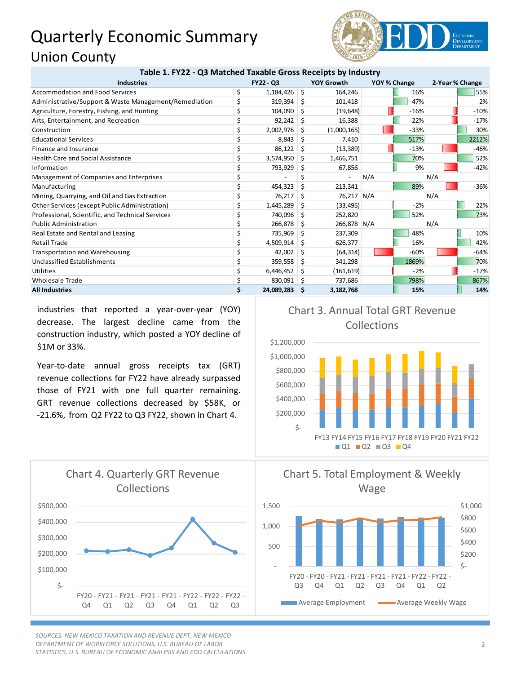## Quarterly Economic Summary Union County



| Table 1. FY22 - Q3 Matched Taxable Gross Receipts by Industry |           |            |                   |             |              |        |                 |        |
|---------------------------------------------------------------|-----------|------------|-------------------|-------------|--------------|--------|-----------------|--------|
| <b>Industries</b>                                             | FY22 - Q3 |            | <b>YOY Growth</b> |             | YOY % Change |        | 2-Year % Change |        |
| <b>Accommodation and Food Services</b>                        | \$        | 1,184,426  | Ŝ.                | 164,246     |              | 16%    |                 | 55%    |
| Administrative/Support & Waste Management/Remediation         | \$        | 319,394    | S                 | 101,418     |              | 47%    |                 | 2%     |
| Agriculture, Forestry, Fishing, and Hunting                   |           | 104,090    | S                 | (19, 648)   |              | $-16%$ |                 | $-10%$ |
| Arts, Entertainment, and Recreation                           |           | 92,242     | Ŝ                 | 16,388      |              | 22%    |                 | $-17%$ |
| Construction                                                  | Ś         | 2,002,976  | Ŝ                 | (1,000,165) |              | $-33%$ |                 | 30%    |
| <b>Educational Services</b>                                   |           | 8,843      | Ŝ                 | 7,410       |              | 517%   |                 | 2212%  |
| Finance and Insurance                                         |           | 86,122     | S                 | (13, 389)   |              | $-13%$ |                 | $-46%$ |
| <b>Health Care and Social Assistance</b>                      |           | 3,574,950  | S                 | 1,466,751   |              | 70%    |                 | 52%    |
| Information                                                   |           | 793,929    | S                 | 67,856      |              | 9%     |                 | $-42%$ |
| Management of Companies and Enterprises                       |           |            |                   |             | N/A          |        | N/A             |        |
| Manufacturing                                                 |           | 454,323    | Ŝ                 | 213,341     |              | 89%    |                 | $-36%$ |
| Mining, Quarrying, and Oil and Gas Extraction                 | \$        | 76,217     | Ŝ                 | 76,217 N/A  |              |        | N/A             |        |
| Other Services (except Public Administration)                 |           | 1,445,289  | Ŝ                 | (33, 495)   |              | $-2%$  |                 | 22%    |
| Professional, Scientific, and Technical Services              |           | 740,096    | S                 | 252,820     |              | 52%    |                 | 73%    |
| <b>Public Administration</b>                                  |           | 266,878    | S                 | 266,878 N/A |              |        | N/A             |        |
| Real Estate and Rental and Leasing                            | \$        | 735,969    | S                 | 237,309     |              | 48%    |                 | 10%    |
| <b>Retail Trade</b>                                           |           | 4,509,914  | S                 | 626,377     |              | 16%    |                 | 42%    |
| <b>Transportation and Warehousing</b>                         |           | 42,002     | S                 | (64, 314)   |              | $-60%$ |                 | $-64%$ |
| <b>Unclassified Establishments</b>                            |           | 359,558    | S                 | 341,298     |              | 1869%  |                 | 70%    |
| Utilities                                                     |           | 6,446,452  | Ŝ                 | (161, 619)  |              | $-2%$  |                 | $-17%$ |
| <b>Wholesale Trade</b>                                        |           | 830,091    | -S                | 737,686     |              | 798%   |                 | 867%   |
| <b>All Industries</b>                                         | \$        | 24,089,283 | \$.               | 3,182,768   |              | 15%    |                 | 14%    |

industries that reported a year-over-year (YOY) decrease. The largest decline came from the construction industry, which posted a YOY decline of \$1M or 33%.

Year-to-date annual gross receipts tax (GRT) revenue collections for FY22 have already surpassed those of FY21 with one full quarter remaining. GRT revenue collections decreased by \$58K, or -21.6%, from Q2 FY22 to Q3 FY22, shown in Chart 4.





*SOURCES: NEW MEXICO TAXATION AND REVENUE DEPT, NEW MEXICO DEPARTMENT OF WORKFORCE SOLUTIONS, U.S. BUREAU OF LABOR STATISTICS, U.S. BUREAU OF ECONOMIC ANALYSIS AND EDD CALCULATIONS*

Chart 5. Total Employment & Weekly Wage



Chart 3. Annual Total GRT Revenue